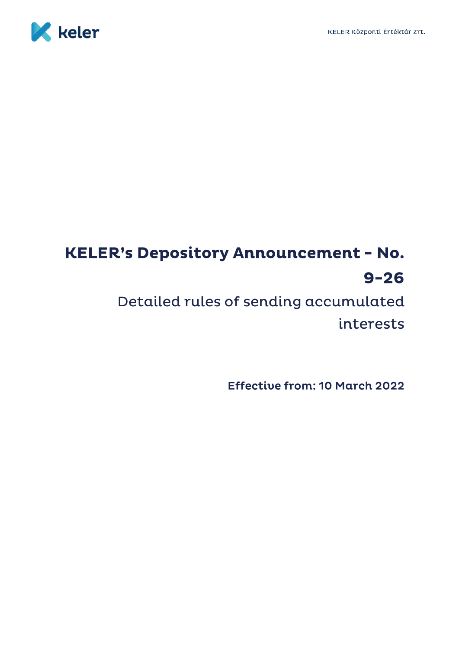

# **KELER's Depository Announcement - No.**  $9 - 26$

Detailed rules of sending accumulated interests

Effective from: 10 March 2022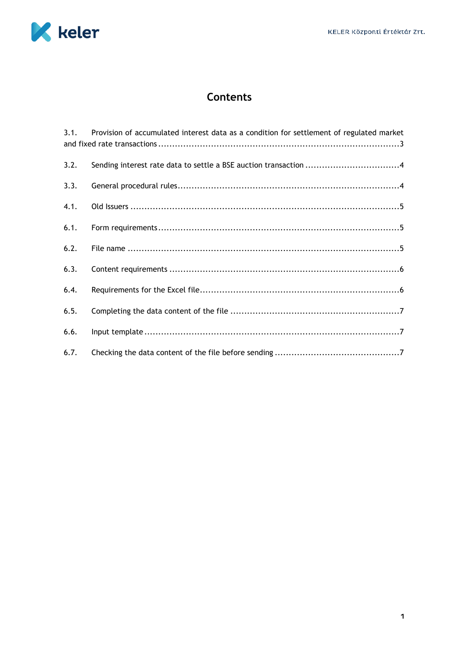

# **Contents**

| 3.1. | Provision of accumulated interest data as a condition for settlement of regulated market |
|------|------------------------------------------------------------------------------------------|
| 3.2. | Sending interest rate data to settle a BSE auction transaction 4                         |
| 3.3. |                                                                                          |
| 4.1. |                                                                                          |
| 6.1. |                                                                                          |
| 6.2. |                                                                                          |
| 6.3. |                                                                                          |
| 6.4. |                                                                                          |
| 6.5. |                                                                                          |
| 6.6. |                                                                                          |
| 6.7. |                                                                                          |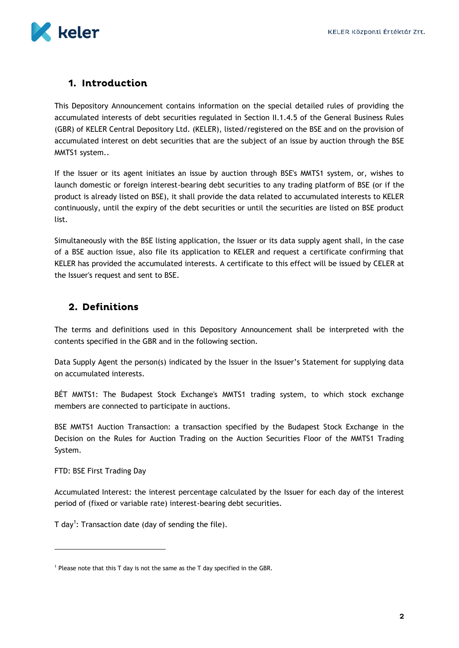

# 1. Introduction

This Depository Announcement contains information on the special detailed rules of providing the accumulated interests of debt securities regulated in Section II.1.4.5 of the General Business Rules (GBR) of KELER Central Depository Ltd. (KELER), listed/registered on the BSE and on the provision of accumulated interest on debt securities that are the subject of an issue by auction through the BSE MMTS1 system..

If the Issuer or its agent initiates an issue by auction through BSE's MMTS1 system, or, wishes to launch domestic or foreign interest-bearing debt securities to any trading platform of BSE (or if the product is already listed on BSE), it shall provide the data related to accumulated interests to KELER continuously, until the expiry of the debt securities or until the securities are listed on BSE product list.

Simultaneously with the BSE listing application, the Issuer or its data supply agent shall, in the case of a BSE auction issue, also file its application to KELER and request a certificate confirming that KELER has provided the accumulated interests. A certificate to this effect will be issued by CELER at the Issuer's request and sent to BSE.

### 2. Definitions

The terms and definitions used in this Depository Announcement shall be interpreted with the contents specified in the GBR and in the following section.

Data Supply Agent the person(s) indicated by the Issuer in the Issuer's Statement for supplying data on accumulated interests.

BÉT MMTS1: The Budapest Stock Exchange's MMTS1 trading system, to which stock exchange members are connected to participate in auctions.

BSE MMTS1 Auction Transaction: a transaction specified by the Budapest Stock Exchange in the Decision on the Rules for Auction Trading on the Auction Securities Floor of the MMTS1 Trading System.

FTD: BSE First Trading Day

 $\overline{a}$ 

Accumulated Interest: the interest percentage calculated by the Issuer for each day of the interest period of (fixed or variable rate) interest-bearing debt securities.

T day<sup>1</sup>: Transaction date (day of sending the file).

<sup>&</sup>lt;sup>1</sup> Please note that this T day is not the same as the T day specified in the GBR.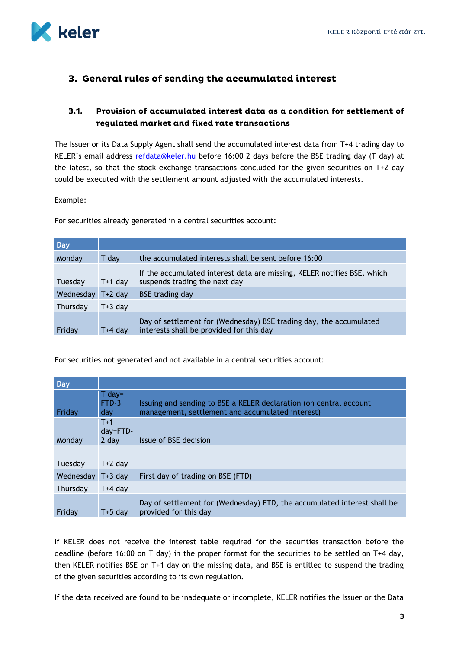

# 3. General rules of sending the accumulated interest

### <span id="page-3-0"></span> $3.1.$ Provision of accumulated interest data as a condition for settlement of regulated market and fixed rate transactions

The Issuer or its Data Supply Agent shall send the accumulated interest data from T+4 trading day to KELER's email address [refdata@keler.hu](mailto:refdata@keler.hu) before 16:00 2 days before the BSE trading day (T day) at the latest, so that the stock exchange transactions concluded for the given securities on T+2 day could be executed with the settlement amount adjusted with the accumulated interests.

### Example:

For securities already generated in a central securities account:

| <b>Day</b>        |           |                                                                                                                |
|-------------------|-----------|----------------------------------------------------------------------------------------------------------------|
| Monday            | T day     | the accumulated interests shall be sent before 16:00                                                           |
| Tuesday           | $T+1$ day | If the accumulated interest data are missing, KELER notifies BSE, which<br>suspends trading the next day       |
| Wednesday T+2 day |           | <b>BSE</b> trading day                                                                                         |
| Thursday          | $T+3$ day |                                                                                                                |
| Friday            | T+4 dav   | Day of settlement for (Wednesday) BSE trading day, the accumulated<br>interests shall be provided for this day |

For securities not generated and not available in a central securities account:

| Day       |                                 |                                                                                                                        |
|-----------|---------------------------------|------------------------------------------------------------------------------------------------------------------------|
| Friday    | $T$ day=<br>FTD-3<br>day        | Issuing and sending to BSE a KELER declaration (on central account<br>management, settlement and accumulated interest) |
| Monday    | $T+1$<br>$day = FTD -$<br>2 day | Issue of BSE decision                                                                                                  |
| Tuesday   | $T+2$ day                       |                                                                                                                        |
| Wednesday | $T+3$ dav                       | First day of trading on BSE (FTD)                                                                                      |
| Thursday  | $T+4$ day                       |                                                                                                                        |
| Friday    | $T+5$ day                       | Day of settlement for (Wednesday) FTD, the accumulated interest shall be<br>provided for this day                      |

If KELER does not receive the interest table required for the securities transaction before the deadline (before 16:00 on T day) in the proper format for the securities to be settled on T+4 day, then KELER notifies BSE on T+1 day on the missing data, and BSE is entitled to suspend the trading of the given securities according to its own regulation.

If the data received are found to be inadequate or incomplete, KELER notifies the Issuer or the Data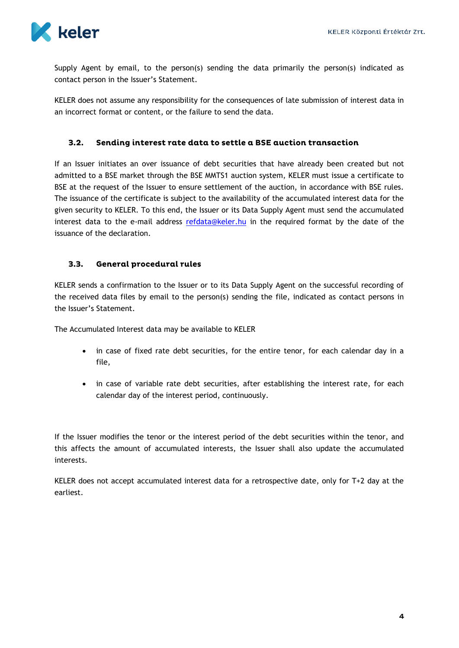

Supply Agent by email, to the person(s) sending the data primarily the person(s) indicated as contact person in the Issuer's Statement.

KELER does not assume any responsibility for the consequences of late submission of interest data in an incorrect format or content, or the failure to send the data.

### <span id="page-4-0"></span> $3.2.$ Sending interest rate data to settle a BSE auction transaction

If an Issuer initiates an over issuance of debt securities that have already been created but not admitted to a BSE market through the BSE MMTS1 auction system, KELER must issue a certificate to BSE at the request of the Issuer to ensure settlement of the auction, in accordance with BSE rules. The issuance of the certificate is subject to the availability of the accumulated interest data for the given security to KELER. To this end, the Issuer or its Data Supply Agent must send the accumulated interest data to the e-mail address [refdata@keler.hu](mailto:refdata@keler.hu) in the required format by the date of the issuance of the declaration.

### <span id="page-4-1"></span> $3.3.$ **General procedural rules**

KELER sends a confirmation to the Issuer or to its Data Supply Agent on the successful recording of the received data files by email to the person(s) sending the file, indicated as contact persons in the Issuer's Statement.

The Accumulated Interest data may be available to KELER

- in case of fixed rate debt securities, for the entire tenor, for each calendar day in a file,
- in case of variable rate debt securities, after establishing the interest rate, for each calendar day of the interest period, continuously.

If the Issuer modifies the tenor or the interest period of the debt securities within the tenor, and this affects the amount of accumulated interests, the Issuer shall also update the accumulated interests.

KELER does not accept accumulated interest data for a retrospective date, only for T+2 day at the earliest.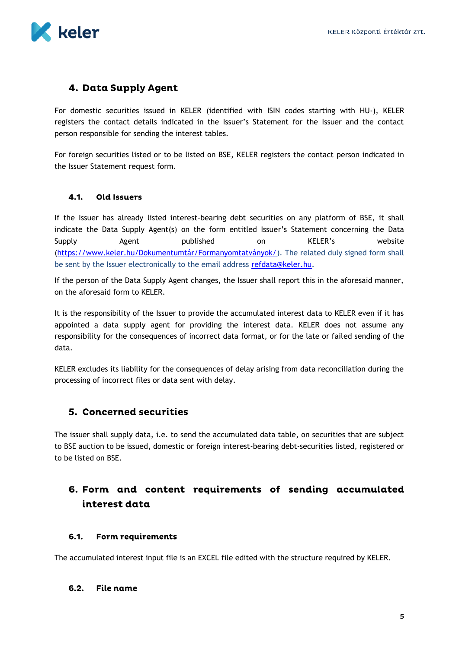

### 4. Data Supply Agent

For domestic securities issued in KELER (identified with ISIN codes starting with HU-), KELER registers the contact details indicated in the Issuer's Statement for the Issuer and the contact person responsible for sending the interest tables.

For foreign securities listed or to be listed on BSE, KELER registers the contact person indicated in the Issuer Statement request form.

### <span id="page-5-0"></span> $4.1.$ **Old Issuers**

If the Issuer has already listed interest-bearing debt securities on any platform of BSE, it shall indicate the Data Supply Agent(s) on the form entitled Issuer's Statement concerning the Data Supply Agent published on KELER's website (<https://www.keler.hu/Dokumentumtár/Formanyomtatványok/>). The related duly signed form shall be sent by the Issuer electronically to the email address [refdata@keler.hu.](mailto:refdata@keler.hu)

If the person of the Data Supply Agent changes, the Issuer shall report this in the aforesaid manner, on the aforesaid form to KELER.

It is the responsibility of the Issuer to provide the accumulated interest data to KELER even if it has appointed a data supply agent for providing the interest data. KELER does not assume any responsibility for the consequences of incorrect data format, or for the late or failed sending of the data.

KELER excludes its liability for the consequences of delay arising from data reconciliation during the processing of incorrect files or data sent with delay.

### **5. Concerned securities**

The issuer shall supply data, i.e. to send the accumulated data table, on securities that are subject to BSE auction to be issued, domestic or foreign interest-bearing debt-securities listed, registered or to be listed on BSE.

# 6. Form and content requirements of sending accumulated interest data

#### <span id="page-5-1"></span> $6.1.$ Form requirements

The accumulated interest input file is an EXCEL file edited with the structure required by KELER.

#### <span id="page-5-2"></span> $6.2.$ File name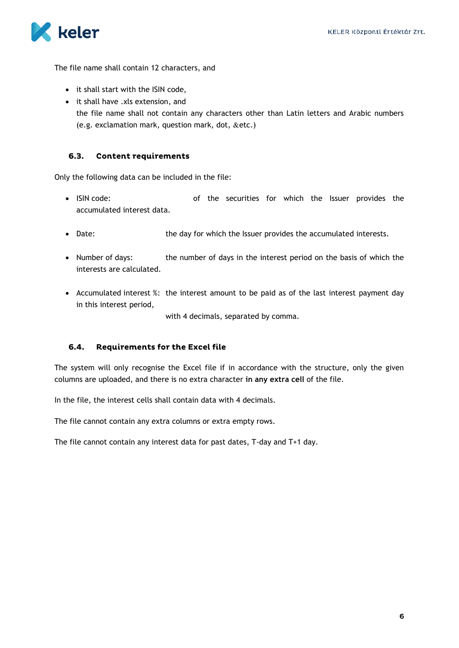

The file name shall contain 12 characters, and

- it shall start with the ISIN code,
- it shall have .xls extension, and the file name shall not contain any characters other than Latin letters and Arabic numbers (e.g. exclamation mark, question mark, dot,  $&$ etc.)

### <span id="page-6-0"></span> $6.3.$ **Content requirements**

Only the following data can be included in the file:

- ISIN code: of the securities for which the Issuer provides the accumulated interest data.
- Date: the day for which the Issuer provides the accumulated interests.
- Number of days: the number of days in the interest period on the basis of which the interests are calculated.
- Accumulated interest %: the interest amount to be paid as of the last interest payment day in this interest period,

with 4 decimals, separated by comma.

### <span id="page-6-1"></span>6.4. **Requirements for the Excel file**

The system will only recognise the Excel file if in accordance with the structure, only the given columns are uploaded, and there is no extra character **in any extra cell** of the file.

In the file, the interest cells shall contain data with 4 decimals.

The file cannot contain any extra columns or extra empty rows.

The file cannot contain any interest data for past dates, T-day and T+1 day.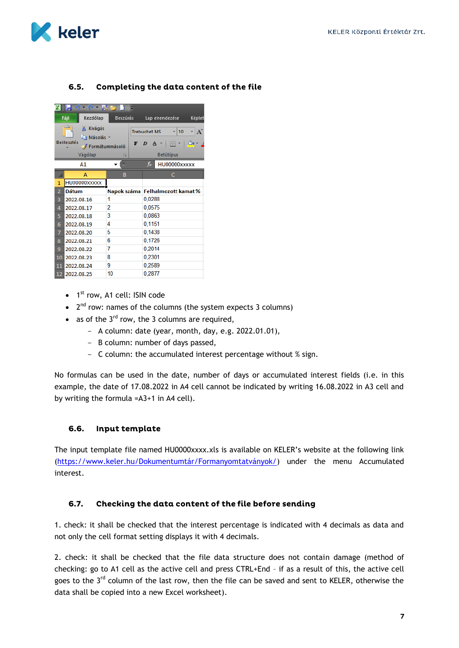

### <span id="page-7-0"></span>Completing the data content of the file  $6.5.$



- $\bullet$  1<sup>st</sup> row, A1 cell: ISIN code
- $\bullet$  2<sup>nd</sup> row: names of the columns (the system expects 3 columns)
- as of the  $3^{rd}$  row, the 3 columns are required,
	- A column: date (year, month, day, e.g. 2022.01.01),
	- B column: number of days passed,
	- C column: the accumulated interest percentage without % sign.

No formulas can be used in the date, number of days or accumulated interest fields (i.e. in this example, the date of 17.08.2022 in A4 cell cannot be indicated by writing 16.08.2022 in A3 cell and by writing the formula =A3+1 in A4 cell).

#### <span id="page-7-1"></span>6.6. Input template

The input template file named HU0000xxxx.xls is available on KELER's website at the following link (<https://www.keler.hu/Dokumentumtár/Formanyomtatványok/>) under the menu Accumulated interest.

#### <span id="page-7-2"></span> $6.7.$ Checking the data content of the file before sending

1. check: it shall be checked that the interest percentage is indicated with 4 decimals as data and not only the cell format setting displays it with 4 decimals.

2. check: it shall be checked that the file data structure does not contain damage (method of checking: go to A1 cell as the active cell and press CTRL+End – if as a result of this, the active cell goes to the 3<sup>rd</sup> column of the last row, then the file can be saved and sent to KELER, otherwise the data shall be copied into a new Excel worksheet).